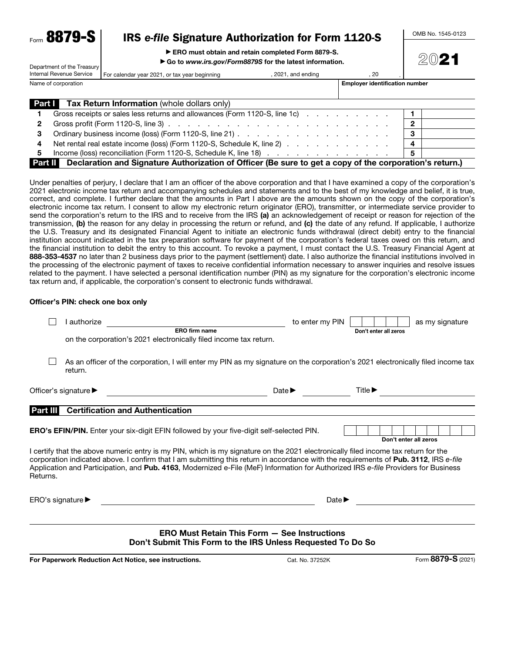Form 8879-S

Department of the Treasury

# IRS *e-file* Signature Authorization for Form 1120-S

▶ ERO must obtain and retain completed Form 8879-S.

▶ Go to *www.irs.gov/Form8879S* for the latest information.

2021

OMB No. 1545-0123

| Internal Revenue Service | For calendar year 2021, or tax year beginning      | , 2021, and ending | 20                                    |  |
|--------------------------|----------------------------------------------------|--------------------|---------------------------------------|--|
| Name of corporation      |                                                    |                    | <b>Employer identification number</b> |  |
| Part I                   | <b>Tax Return Information</b> (whole dollars only) |                    |                                       |  |

|           | $\blacksquare$                                                                                                               |    |  |
|-----------|------------------------------------------------------------------------------------------------------------------------------|----|--|
|           | Gross receipts or sales less returns and allowances (Form 1120-S, line 1c)                                                   |    |  |
| 2         | Gross profit (Form 1120-S, line 3) $\ldots$ $\ldots$ $\ldots$ $\ldots$ $\ldots$ $\ldots$ $\ldots$ $\ldots$ $\ldots$ $\ldots$ |    |  |
| 3         |                                                                                                                              |    |  |
| 4         | Net rental real estate income (loss) (Form 1120-S, Schedule K, line 2) entitled as a controller to the control               | -4 |  |
| 5         | Income (loss) reconciliation (Form 1120-S, Schedule K, line 18)                                                              |    |  |
| Part II I | Declaration and Signature Authorization of Officer (Be sure to get a copy of the corporation's return.)                      |    |  |

Under penalties of perjury, I declare that I am an officer of the above corporation and that I have examined a copy of the corporation's 2021 electronic income tax return and accompanying schedules and statements and to the best of my knowledge and belief, it is true, correct, and complete. I further declare that the amounts in Part I above are the amounts shown on the copy of the corporation's electronic income tax return. I consent to allow my electronic return originator (ERO), transmitter, or intermediate service provider to send the corporation's return to the IRS and to receive from the IRS (a) an acknowledgement of receipt or reason for rejection of the transmission, (b) the reason for any delay in processing the return or refund, and (c) the date of any refund. If applicable, I authorize the U.S. Treasury and its designated Financial Agent to initiate an electronic funds withdrawal (direct debit) entry to the financial institution account indicated in the tax preparation software for payment of the corporation's federal taxes owed on this return, and the financial institution to debit the entry to this account. To revoke a payment, I must contact the U.S. Treasury Financial Agent at 888-353-4537 no later than 2 business days prior to the payment (settlement) date. I also authorize the financial institutions involved in the processing of the electronic payment of taxes to receive confidential information necessary to answer inquiries and resolve issues related to the payment. I have selected a personal identification number (PIN) as my signature for the corporation's electronic income tax return and, if applicable, the corporation's consent to electronic funds withdrawal.

#### Officer's PIN: check one box only

|          | return.                                   | As an officer of the corporation, I will enter my PIN as my signature on the corporation's 2021 electronically filed income tax                                                                                                                                                                                                                                                                                          |                            |                             |                       |
|----------|-------------------------------------------|--------------------------------------------------------------------------------------------------------------------------------------------------------------------------------------------------------------------------------------------------------------------------------------------------------------------------------------------------------------------------------------------------------------------------|----------------------------|-----------------------------|-----------------------|
|          | Officer's signature $\blacktriangleright$ |                                                                                                                                                                                                                                                                                                                                                                                                                          | Date $\blacktriangleright$ | Title $\blacktriangleright$ |                       |
| Part III |                                           | <b>Certification and Authentication</b>                                                                                                                                                                                                                                                                                                                                                                                  |                            |                             |                       |
|          |                                           | <b>ERO's EFIN/PIN.</b> Enter your six-digit EFIN followed by your five-digit self-selected PIN.                                                                                                                                                                                                                                                                                                                          |                            |                             | Don't enter all zeros |
| Returns. |                                           | I certify that the above numeric entry is my PIN, which is my signature on the 2021 electronically filed income tax return for the<br>corporation indicated above. I confirm that I am submitting this return in accordance with the requirements of Pub. 3112, IRS e-file<br>Application and Participation, and Pub. 4163, Modernized e-File (MeF) Information for Authorized IRS e- <i>file</i> Providers for Business |                            |                             |                       |
|          | ERO's signature ▶                         |                                                                                                                                                                                                                                                                                                                                                                                                                          |                            | Date $\blacktriangleright$  |                       |
|          |                                           |                                                                                                                                                                                                                                                                                                                                                                                                                          |                            |                             |                       |
|          |                                           | <b>ERO Must Retain This Form - See Instructions</b><br>Don't Submit This Form to the IRS Unless Requested To Do So                                                                                                                                                                                                                                                                                                       |                            |                             |                       |